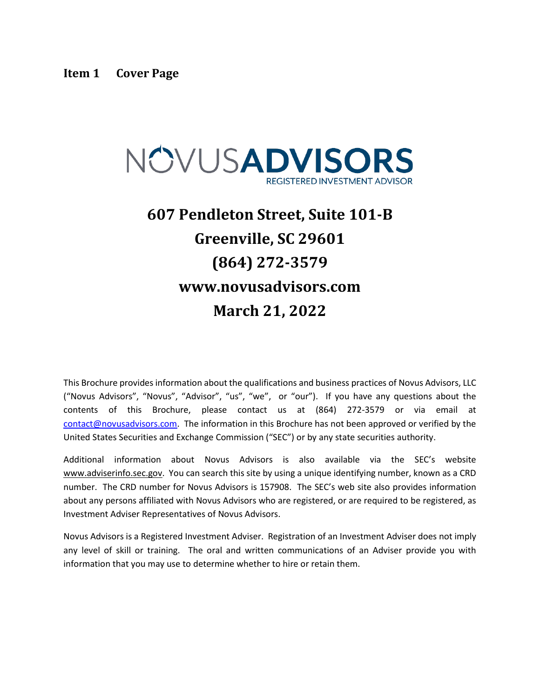<span id="page-0-0"></span>

# **607 Pendleton Street, Suite 101-B Greenville, SC 29601 (864) 272-3579 www.novusadvisors.com March 21, 2022**

This Brochure provides information about the qualifications and business practices of Novus Advisors, LLC ("Novus Advisors", "Novus", "Advisor", "us", "we", or "our"). If you have any questions about the contents of this Brochure, please contact us at (864) 272-3579 or via email at [contact@novusadvisors.com.](mailto:contact@novusadvisors.com) The information in this Brochure has not been approved or verified by the United States Securities and Exchange Commission ("SEC") or by any state securities authority.

Additional information about Novus Advisors is also available via the SEC's website www.adviserinfo.sec.gov. You can search this site by using a unique identifying number, known as a CRD number. The CRD number for Novus Advisors is 157908. The SEC's web site also provides information about any persons affiliated with Novus Advisors who are registered, or are required to be registered, as Investment Adviser Representatives of Novus Advisors.

Novus Advisors is a Registered Investment Adviser. Registration of an Investment Adviser does not imply any level of skill or training. The oral and written communications of an Adviser provide you with information that you may use to determine whether to hire or retain them.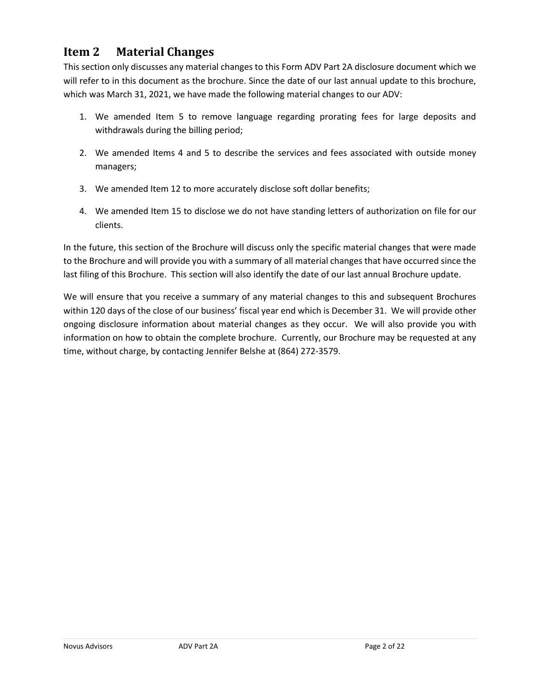# <span id="page-1-0"></span>**Item 2 Material Changes**

This section only discusses any material changes to this Form ADV Part 2A disclosure document which we will refer to in this document as the brochure. Since the date of our last annual update to this brochure, which was March 31, 2021, we have made the following material changes to our ADV:

- 1. We amended Item 5 to remove language regarding prorating fees for large deposits and withdrawals during the billing period;
- 2. We amended Items 4 and 5 to describe the services and fees associated with outside money managers;
- 3. We amended Item 12 to more accurately disclose soft dollar benefits;
- 4. We amended Item 15 to disclose we do not have standing letters of authorization on file for our clients.

In the future, this section of the Brochure will discuss only the specific material changes that were made to the Brochure and will provide you with a summary of all material changes that have occurred since the last filing of this Brochure. This section will also identify the date of our last annual Brochure update.

We will ensure that you receive a summary of any material changes to this and subsequent Brochures within 120 days of the close of our business' fiscal year end which is December 31. We will provide other ongoing disclosure information about material changes as they occur. We will also provide you with information on how to obtain the complete brochure. Currently, our Brochure may be requested at any time, without charge, by contacting Jennifer Belshe at (864) 272-3579.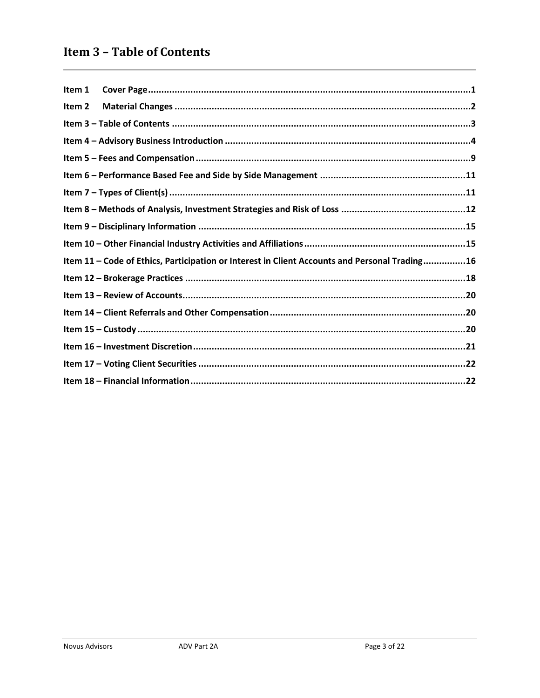# <span id="page-2-0"></span>**Item 3 - Table of Contents**

| Item 1            |                                                                                               |
|-------------------|-----------------------------------------------------------------------------------------------|
| Item <sub>2</sub> |                                                                                               |
|                   |                                                                                               |
|                   |                                                                                               |
|                   |                                                                                               |
|                   |                                                                                               |
|                   |                                                                                               |
|                   |                                                                                               |
|                   |                                                                                               |
|                   |                                                                                               |
|                   | Item 11 - Code of Ethics, Participation or Interest in Client Accounts and Personal Trading16 |
|                   |                                                                                               |
|                   |                                                                                               |
|                   |                                                                                               |
|                   |                                                                                               |
|                   |                                                                                               |
|                   |                                                                                               |
|                   |                                                                                               |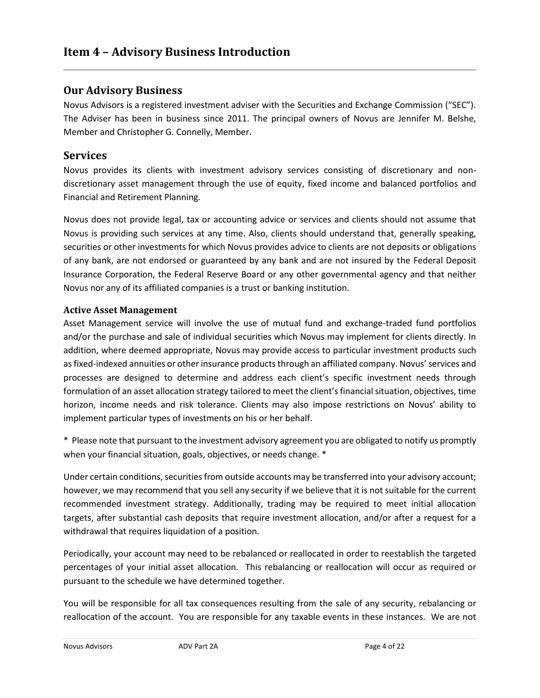### <span id="page-3-0"></span>**Our Advisory Business**

Novus Advisors is a registered investment adviser with the Securities and Exchange Commission ("SEC"). The Adviser has been in business since 2011. The principal owners of Novus are Jennifer M. Belshe, Member and Christopher G. Connelly, Member.

#### **Services**

Novus provides its clients with investment advisory services consisting of discretionary and nondiscretionary asset management through the use of equity, fixed income and balanced portfolios and Financial and Retirement Planning.

Novus does not provide legal, tax or accounting advice or services and clients should not assume that Novus is providing such services at any time. Also, clients should understand that, generally speaking, securities or other investments for which Novus provides advice to clients are not deposits or obligations of any bank, are not endorsed or guaranteed by any bank and are not insured by the Federal Deposit Insurance Corporation, the Federal Reserve Board or any other governmental agency and that neither Novus nor any of its affiliated companies is a trust or banking institution.

#### **Active Asset Management**

Asset Management service will involve the use of mutual fund and exchange-traded fund portfolios and/or the purchase and sale of individual securities which Novus may implement for clients directly. In addition, where deemed appropriate, Novus may provide access to particular investment products such as fixed-indexed annuities or other insurance products through an affiliated company. Novus' services and processes are designed to determine and address each client's specific investment needs through formulation of an asset allocation strategy tailored to meet the client's financial situation, objectives, time horizon, income needs and risk tolerance. Clients may also impose restrictions on Novus' ability to implement particular types of investments on his or her behalf.

\* Please note that pursuant to the investment advisory agreement you are obligated to notify us promptly when your financial situation, goals, objectives, or needs change. \*

Under certain conditions, securities from outside accounts may be transferred into your advisory account; however, we may recommend that you sell any security if we believe that it is not suitable for the current recommended investment strategy. Additionally, trading may be required to meet initial allocation targets, after substantial cash deposits that require investment allocation, and/or after a request for a withdrawal that requires liquidation of a position.

Periodically, your account may need to be rebalanced or reallocated in order to reestablish the targeted percentages of your initial asset allocation. This rebalancing or reallocation will occur as required or pursuant to the schedule we have determined together.

You will be responsible for all tax consequences resulting from the sale of any security, rebalancing or reallocation of the account. You are responsible for any taxable events in these instances. We are not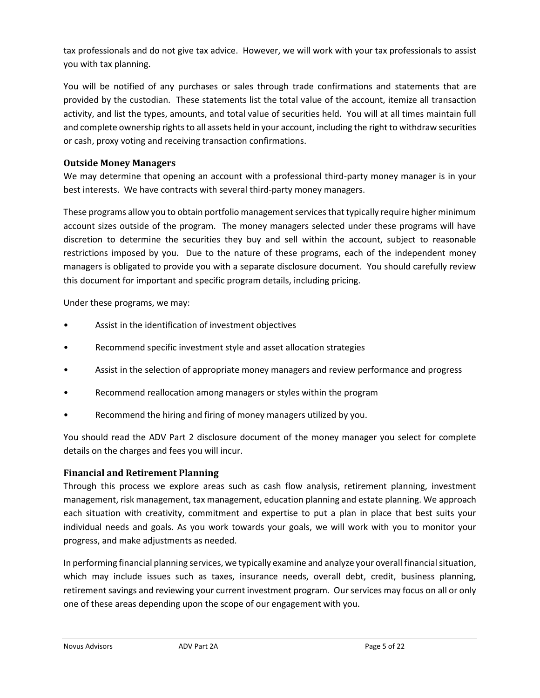tax professionals and do not give tax advice. However, we will work with your tax professionals to assist you with tax planning.

You will be notified of any purchases or sales through trade confirmations and statements that are provided by the custodian. These statements list the total value of the account, itemize all transaction activity, and list the types, amounts, and total value of securities held. You will at all times maintain full and complete ownership rights to all assets held in your account, including the right to withdraw securities or cash, proxy voting and receiving transaction confirmations.

#### **Outside Money Managers**

We may determine that opening an account with a professional third-party money manager is in your best interests. We have contracts with several third-party money managers.

These programs allow you to obtain portfolio management services that typically require higher minimum account sizes outside of the program. The money managers selected under these programs will have discretion to determine the securities they buy and sell within the account, subject to reasonable restrictions imposed by you. Due to the nature of these programs, each of the independent money managers is obligated to provide you with a separate disclosure document. You should carefully review this document for important and specific program details, including pricing.

Under these programs, we may:

- Assist in the identification of investment objectives
- Recommend specific investment style and asset allocation strategies
- Assist in the selection of appropriate money managers and review performance and progress
- Recommend reallocation among managers or styles within the program
- Recommend the hiring and firing of money managers utilized by you.

You should read the ADV Part 2 disclosure document of the money manager you select for complete details on the charges and fees you will incur.

#### **Financial and Retirement Planning**

Through this process we explore areas such as cash flow analysis, retirement planning, investment management, risk management, tax management, education planning and estate planning. We approach each situation with creativity, commitment and expertise to put a plan in place that best suits your individual needs and goals. As you work towards your goals, we will work with you to monitor your progress, and make adjustments as needed.

In performing financial planning services, we typically examine and analyze your overall financial situation, which may include issues such as taxes, insurance needs, overall debt, credit, business planning, retirement savings and reviewing your current investment program. Our services may focus on all or only one of these areas depending upon the scope of our engagement with you.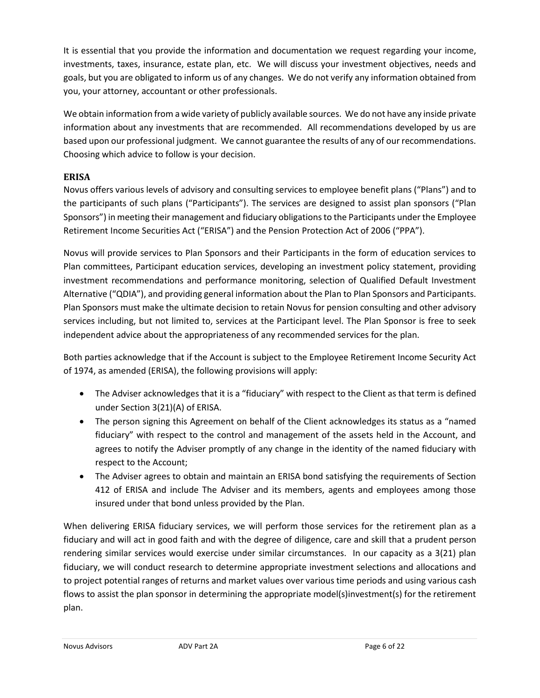It is essential that you provide the information and documentation we request regarding your income, investments, taxes, insurance, estate plan, etc. We will discuss your investment objectives, needs and goals, but you are obligated to inform us of any changes. We do not verify any information obtained from you, your attorney, accountant or other professionals.

We obtain information from a wide variety of publicly available sources. We do not have any inside private information about any investments that are recommended. All recommendations developed by us are based upon our professional judgment. We cannot guarantee the results of any of our recommendations. Choosing which advice to follow is your decision.

### **ERISA**

Novus offers various levels of advisory and consulting services to employee benefit plans ("Plans") and to the participants of such plans ("Participants"). The services are designed to assist plan sponsors ("Plan Sponsors") in meeting their management and fiduciary obligations to the Participants under the Employee Retirement Income Securities Act ("ERISA") and the Pension Protection Act of 2006 ("PPA").

Novus will provide services to Plan Sponsors and their Participants in the form of education services to Plan committees, Participant education services, developing an investment policy statement, providing investment recommendations and performance monitoring, selection of Qualified Default Investment Alternative ("QDIA"), and providing general information about the Plan to Plan Sponsors and Participants. Plan Sponsors must make the ultimate decision to retain Novus for pension consulting and other advisory services including, but not limited to, services at the Participant level. The Plan Sponsor is free to seek independent advice about the appropriateness of any recommended services for the plan.

Both parties acknowledge that if the Account is subject to the Employee Retirement Income Security Act of 1974, as amended (ERISA), the following provisions will apply:

- The Adviser acknowledges that it is a "fiduciary" with respect to the Client as that term is defined under Section 3(21)(A) of ERISA.
- The person signing this Agreement on behalf of the Client acknowledges its status as a "named fiduciary" with respect to the control and management of the assets held in the Account, and agrees to notify the Adviser promptly of any change in the identity of the named fiduciary with respect to the Account;
- The Adviser agrees to obtain and maintain an ERISA bond satisfying the requirements of Section 412 of ERISA and include The Adviser and its members, agents and employees among those insured under that bond unless provided by the Plan.

When delivering ERISA fiduciary services, we will perform those services for the retirement plan as a fiduciary and will act in good faith and with the degree of diligence, care and skill that a prudent person rendering similar services would exercise under similar circumstances. In our capacity as a 3(21) plan fiduciary, we will conduct research to determine appropriate investment selections and allocations and to project potential ranges of returns and market values over various time periods and using various cash flows to assist the plan sponsor in determining the appropriate model(s)investment(s) for the retirement plan.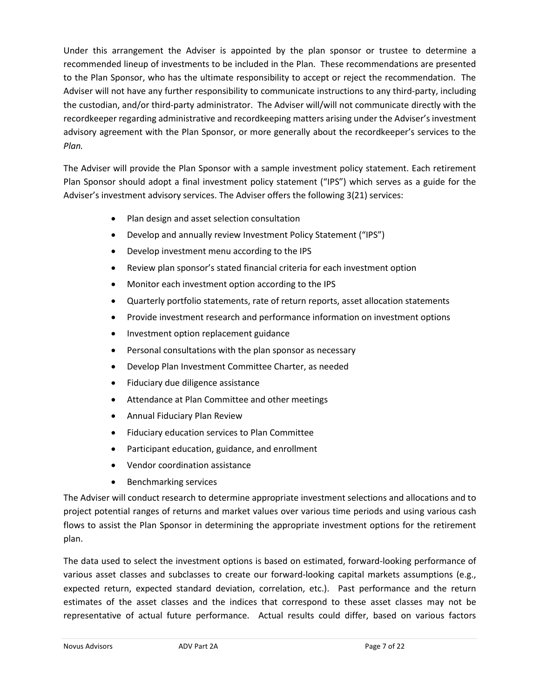Under this arrangement the Adviser is appointed by the plan sponsor or trustee to determine a recommended lineup of investments to be included in the Plan. These recommendations are presented to the Plan Sponsor, who has the ultimate responsibility to accept or reject the recommendation. The Adviser will not have any further responsibility to communicate instructions to any third‐party, including the custodian, and/or third‐party administrator. The Adviser will/will not communicate directly with the recordkeeper regarding administrative and recordkeeping matters arising under the Adviser's investment advisory agreement with the Plan Sponsor, or more generally about the recordkeeper's services to the *Plan.*

The Adviser will provide the Plan Sponsor with a sample investment policy statement. Each retirement Plan Sponsor should adopt a final investment policy statement ("IPS") which serves as a guide for the Adviser's investment advisory services. The Adviser offers the following 3(21) services:

- Plan design and asset selection consultation
- Develop and annually review Investment Policy Statement ("IPS")
- Develop investment menu according to the IPS
- Review plan sponsor's stated financial criteria for each investment option
- Monitor each investment option according to the IPS
- Quarterly portfolio statements, rate of return reports, asset allocation statements
- Provide investment research and performance information on investment options
- Investment option replacement guidance
- Personal consultations with the plan sponsor as necessary
- Develop Plan Investment Committee Charter, as needed
- Fiduciary due diligence assistance
- Attendance at Plan Committee and other meetings
- Annual Fiduciary Plan Review
- Fiduciary education services to Plan Committee
- Participant education, guidance, and enrollment
- Vendor coordination assistance
- Benchmarking services

The Adviser will conduct research to determine appropriate investment selections and allocations and to project potential ranges of returns and market values over various time periods and using various cash flows to assist the Plan Sponsor in determining the appropriate investment options for the retirement plan.

The data used to select the investment options is based on estimated, forward-looking performance of various asset classes and subclasses to create our forward-looking capital markets assumptions (e.g., expected return, expected standard deviation, correlation, etc.). Past performance and the return estimates of the asset classes and the indices that correspond to these asset classes may not be representative of actual future performance. Actual results could differ, based on various factors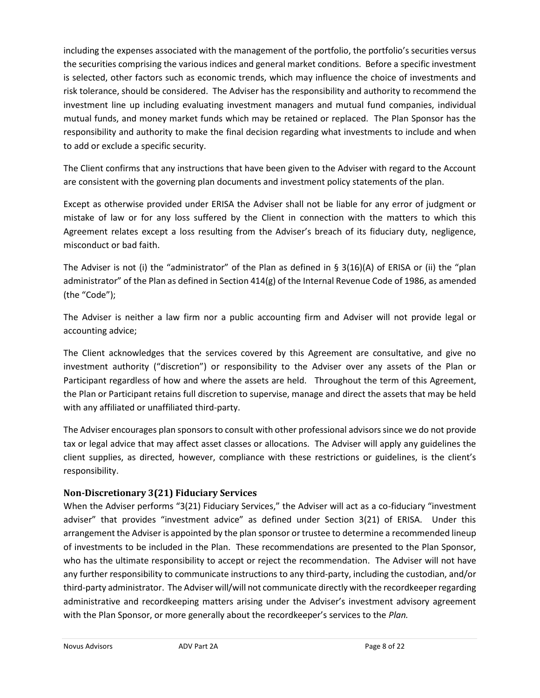including the expenses associated with the management of the portfolio, the portfolio's securities versus the securities comprising the various indices and general market conditions. Before a specific investment is selected, other factors such as economic trends, which may influence the choice of investments and risk tolerance, should be considered. The Adviser has the responsibility and authority to recommend the investment line up including evaluating investment managers and mutual fund companies, individual mutual funds, and money market funds which may be retained or replaced. The Plan Sponsor has the responsibility and authority to make the final decision regarding what investments to include and when to add or exclude a specific security.

The Client confirms that any instructions that have been given to the Adviser with regard to the Account are consistent with the governing plan documents and investment policy statements of the plan.

Except as otherwise provided under ERISA the Adviser shall not be liable for any error of judgment or mistake of law or for any loss suffered by the Client in connection with the matters to which this Agreement relates except a loss resulting from the Adviser's breach of its fiduciary duty, negligence, misconduct or bad faith.

The Adviser is not (i) the "administrator" of the Plan as defined in § 3(16)(A) of ERISA or (ii) the "plan administrator" of the Plan as defined in Section 414(g) of the Internal Revenue Code of 1986, as amended (the "Code");

The Adviser is neither a law firm nor a public accounting firm and Adviser will not provide legal or accounting advice;

The Client acknowledges that the services covered by this Agreement are consultative, and give no investment authority ("discretion") or responsibility to the Adviser over any assets of the Plan or Participant regardless of how and where the assets are held. Throughout the term of this Agreement, the Plan or Participant retains full discretion to supervise, manage and direct the assets that may be held with any affiliated or unaffiliated third-party.

The Adviser encourages plan sponsors to consult with other professional advisors since we do not provide tax or legal advice that may affect asset classes or allocations. The Adviser will apply any guidelines the client supplies, as directed, however, compliance with these restrictions or guidelines, is the client's responsibility.

#### **Non-Discretionary 3(21) Fiduciary Services**

When the Adviser performs "3(21) Fiduciary Services," the Adviser will act as a co-fiduciary "investment adviser" that provides "investment advice" as defined under Section 3(21) of ERISA. Under this arrangement the Adviser is appointed by the plan sponsor or trustee to determine a recommended lineup of investments to be included in the Plan. These recommendations are presented to the Plan Sponsor, who has the ultimate responsibility to accept or reject the recommendation. The Adviser will not have any further responsibility to communicate instructions to any third‐party, including the custodian, and/or third‐party administrator. The Adviser will/will not communicate directly with the recordkeeper regarding administrative and recordkeeping matters arising under the Adviser's investment advisory agreement with the Plan Sponsor, or more generally about the recordkeeper's services to the *Plan.*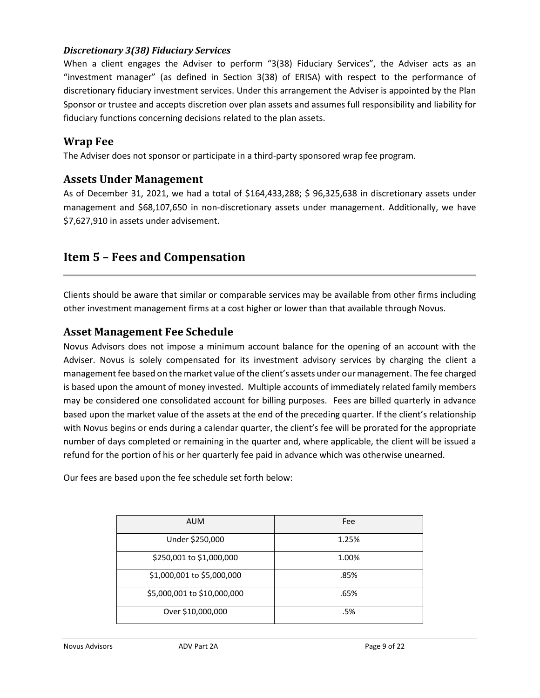#### *Discretionary 3(38) Fiduciary Services*

When a client engages the Adviser to perform "3(38) Fiduciary Services", the Adviser acts as an "investment manager" (as defined in Section 3(38) of ERISA) with respect to the performance of discretionary fiduciary investment services. Under this arrangement the Adviser is appointed by the Plan Sponsor or trustee and accepts discretion over plan assets and assumes full responsibility and liability for fiduciary functions concerning decisions related to the plan assets.

### **Wrap Fee**

The Adviser does not sponsor or participate in a third-party sponsored wrap fee program.

#### **Assets Under Management**

As of December 31, 2021, we had a total of \$164,433,288; \$ 96,325,638 in discretionary assets under management and \$68,107,650 in non-discretionary assets under management. Additionally, we have \$7,627,910 in assets under advisement.

# <span id="page-8-0"></span>**Item 5 – Fees and Compensation**

Clients should be aware that similar or comparable services may be available from other firms including other investment management firms at a cost higher or lower than that available through Novus.

#### **Asset Management Fee Schedule**

Novus Advisors does not impose a minimum account balance for the opening of an account with the Adviser. Novus is solely compensated for its investment advisory services by charging the client a management fee based on the market value of the client's assets under our management. The fee charged is based upon the amount of money invested. Multiple accounts of immediately related family members may be considered one consolidated account for billing purposes. Fees are billed quarterly in advance based upon the market value of the assets at the end of the preceding quarter. If the client's relationship with Novus begins or ends during a calendar quarter, the client's fee will be prorated for the appropriate number of days completed or remaining in the quarter and, where applicable, the client will be issued a refund for the portion of his or her quarterly fee paid in advance which was otherwise unearned.

Our fees are based upon the fee schedule set forth below:

| <b>AUM</b>                  | Fee   |
|-----------------------------|-------|
| Under \$250,000             | 1.25% |
| \$250,001 to \$1,000,000    | 1.00% |
| \$1,000,001 to \$5,000,000  | .85%  |
| \$5,000,001 to \$10,000,000 | .65%  |
| Over \$10,000,000           | .5%   |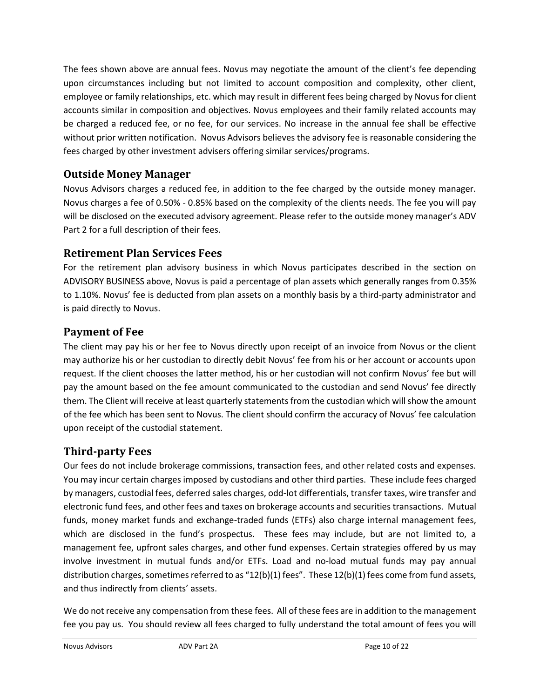The fees shown above are annual fees. Novus may negotiate the amount of the client's fee depending upon circumstances including but not limited to account composition and complexity, other client, employee or family relationships, etc. which may result in different fees being charged by Novus for client accounts similar in composition and objectives. Novus employees and their family related accounts may be charged a reduced fee, or no fee, for our services. No increase in the annual fee shall be effective without prior written notification. Novus Advisors believes the advisory fee is reasonable considering the fees charged by other investment advisers offering similar services/programs.

### **Outside Money Manager**

Novus Advisors charges a reduced fee, in addition to the fee charged by the outside money manager. Novus charges a fee of 0.50% - 0.85% based on the complexity of the clients needs. The fee you will pay will be disclosed on the executed advisory agreement. Please refer to the outside money manager's ADV Part 2 for a full description of their fees.

# **Retirement Plan Services Fees**

For the retirement plan advisory business in which Novus participates described in the section on ADVISORY BUSINESS above, Novus is paid a percentage of plan assets which generally ranges from 0.35% to 1.10%. Novus' fee is deducted from plan assets on a monthly basis by a third-party administrator and is paid directly to Novus.

### **Payment of Fee**

The client may pay his or her fee to Novus directly upon receipt of an invoice from Novus or the client may authorize his or her custodian to directly debit Novus' fee from his or her account or accounts upon request. If the client chooses the latter method, his or her custodian will not confirm Novus' fee but will pay the amount based on the fee amount communicated to the custodian and send Novus' fee directly them. The Client will receive at least quarterly statements from the custodian which will show the amount of the fee which has been sent to Novus. The client should confirm the accuracy of Novus' fee calculation upon receipt of the custodial statement.

# **Third-party Fees**

Our fees do not include brokerage commissions, transaction fees, and other related costs and expenses. You may incur certain charges imposed by custodians and other third parties. These include fees charged by managers, custodial fees, deferred sales charges, odd-lot differentials, transfer taxes, wire transfer and electronic fund fees, and other fees and taxes on brokerage accounts and securities transactions. Mutual funds, money market funds and exchange-traded funds (ETFs) also charge internal management fees, which are disclosed in the fund's prospectus. These fees may include, but are not limited to, a management fee, upfront sales charges, and other fund expenses. Certain strategies offered by us may involve investment in mutual funds and/or ETFs. Load and no-load mutual funds may pay annual distribution charges, sometimes referred to as "12(b)(1) fees". These 12(b)(1) fees come from fund assets, and thus indirectly from clients' assets.

We do not receive any compensation from these fees. All of these fees are in addition to the management fee you pay us. You should review all fees charged to fully understand the total amount of fees you will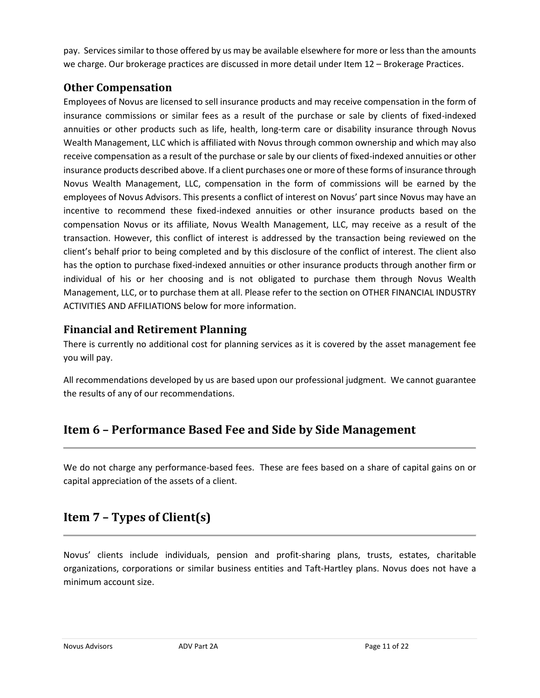pay. Services similar to those offered by us may be available elsewhere for more or less than the amounts we charge. Our brokerage practices are discussed in more detail under Item 12 – Brokerage Practices.

# **Other Compensation**

Employees of Novus are licensed to sell insurance products and may receive compensation in the form of insurance commissions or similar fees as a result of the purchase or sale by clients of fixed-indexed annuities or other products such as life, health, long-term care or disability insurance through Novus Wealth Management, LLC which is affiliated with Novus through common ownership and which may also receive compensation as a result of the purchase or sale by our clients of fixed-indexed annuities or other insurance products described above. If a client purchases one or more of these forms of insurance through Novus Wealth Management, LLC, compensation in the form of commissions will be earned by the employees of Novus Advisors. This presents a conflict of interest on Novus' part since Novus may have an incentive to recommend these fixed-indexed annuities or other insurance products based on the compensation Novus or its affiliate, Novus Wealth Management, LLC, may receive as a result of the transaction. However, this conflict of interest is addressed by the transaction being reviewed on the client's behalf prior to being completed and by this disclosure of the conflict of interest. The client also has the option to purchase fixed-indexed annuities or other insurance products through another firm or individual of his or her choosing and is not obligated to purchase them through Novus Wealth Management, LLC, or to purchase them at all. Please refer to the section on OTHER FINANCIAL INDUSTRY ACTIVITIES AND AFFILIATIONS below for more information.

# **Financial and Retirement Planning**

There is currently no additional cost for planning services as it is covered by the asset management fee you will pay.

All recommendations developed by us are based upon our professional judgment. We cannot guarantee the results of any of our recommendations.

# <span id="page-10-0"></span>**Item 6 – Performance Based Fee and Side by Side Management**

We do not charge any performance-based fees. These are fees based on a share of capital gains on or capital appreciation of the assets of a client.

# <span id="page-10-1"></span>**Item 7 – Types of Client(s)**

Novus' clients include individuals, pension and profit-sharing plans, trusts, estates, charitable organizations, corporations or similar business entities and Taft-Hartley plans. Novus does not have a minimum account size.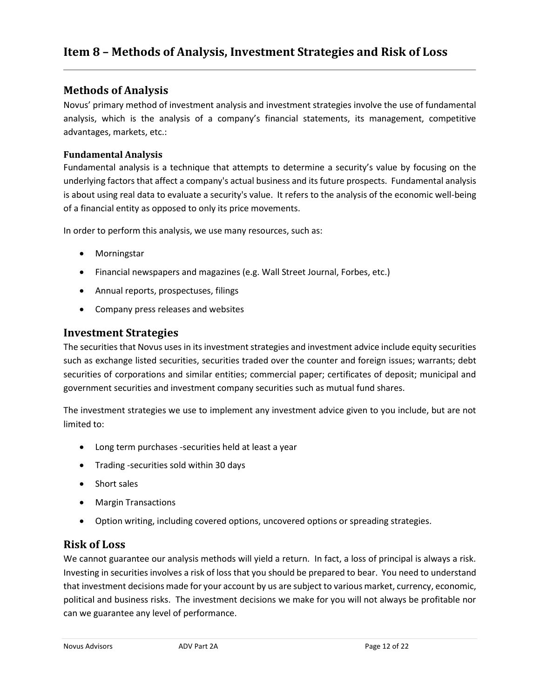### <span id="page-11-0"></span>**Methods of Analysis**

Novus' primary method of investment analysis and investment strategies involve the use of fundamental analysis, which is the analysis of a company's financial statements, its management, competitive advantages, markets, etc.:

#### **Fundamental Analysis**

Fundamental analysis is a technique that attempts to determine a security's value by focusing on the underlying factors that affect a company's actual business and its future prospects. Fundamental analysis is about using real data to evaluate a security's value. It refers to the analysis of the economic well-being of a financial entity as opposed to only its price movements.

In order to perform this analysis, we use many resources, such as:

- Morningstar
- Financial newspapers and magazines (e.g. Wall Street Journal, Forbes, etc.)
- Annual reports, prospectuses, filings
- Company press releases and websites

### **Investment Strategies**

The securities that Novus uses in its investment strategies and investment advice include equity securities such as exchange listed securities, securities traded over the counter and foreign issues; warrants; debt securities of corporations and similar entities; commercial paper; certificates of deposit; municipal and government securities and investment company securities such as mutual fund shares.

The investment strategies we use to implement any investment advice given to you include, but are not limited to:

- Long term purchases -securities held at least a year
- Trading -securities sold within 30 days
- Short sales
- Margin Transactions
- Option writing, including covered options, uncovered options or spreading strategies.

# **Risk of Loss**

We cannot guarantee our analysis methods will yield a return. In fact, a loss of principal is always a risk. Investing in securities involves a risk of loss that you should be prepared to bear. You need to understand that investment decisions made for your account by us are subject to various market, currency, economic, political and business risks. The investment decisions we make for you will not always be profitable nor can we guarantee any level of performance.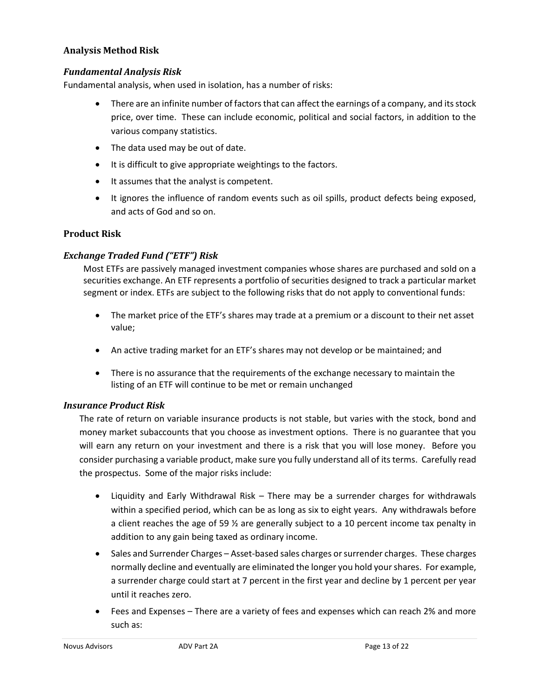#### **Analysis Method Risk**

#### *Fundamental Analysis Risk*

Fundamental analysis, when used in isolation, has a number of risks:

- There are an infinite number of factors that can affect the earnings of a company, and its stock price, over time. These can include economic, political and social factors, in addition to the various company statistics.
- The data used may be out of date.
- It is difficult to give appropriate weightings to the factors.
- It assumes that the analyst is competent.
- It ignores the influence of random events such as oil spills, product defects being exposed, and acts of God and so on.

#### **Product Risk**

#### *Exchange Traded Fund ("ETF") Risk*

Most ETFs are passively managed investment companies whose shares are purchased and sold on a securities exchange. An ETF represents a portfolio of securities designed to track a particular market segment or index. ETFs are subject to the following risks that do not apply to conventional funds:

- The market price of the ETF's shares may trade at a premium or a discount to their net asset value;
- An active trading market for an ETF's shares may not develop or be maintained; and
- There is no assurance that the requirements of the exchange necessary to maintain the listing of an ETF will continue to be met or remain unchanged

#### *Insurance Product Risk*

The rate of return on variable insurance products is not stable, but varies with the stock, bond and money market subaccounts that you choose as investment options. There is no guarantee that you will earn any return on your investment and there is a risk that you will lose money. Before you consider purchasing a variable product, make sure you fully understand all of its terms. Carefully read the prospectus. Some of the major risks include:

- Liquidity and Early Withdrawal Risk There may be a surrender charges for withdrawals within a specified period, which can be as long as six to eight years. Any withdrawals before a client reaches the age of 59  $\frac{1}{2}$  are generally subject to a 10 percent income tax penalty in addition to any gain being taxed as ordinary income.
- Sales and Surrender Charges Asset-based sales charges or surrender charges. These charges normally decline and eventually are eliminated the longer you hold your shares. For example, a surrender charge could start at 7 percent in the first year and decline by 1 percent per year until it reaches zero.
- Fees and Expenses There are a variety of fees and expenses which can reach 2% and more such as: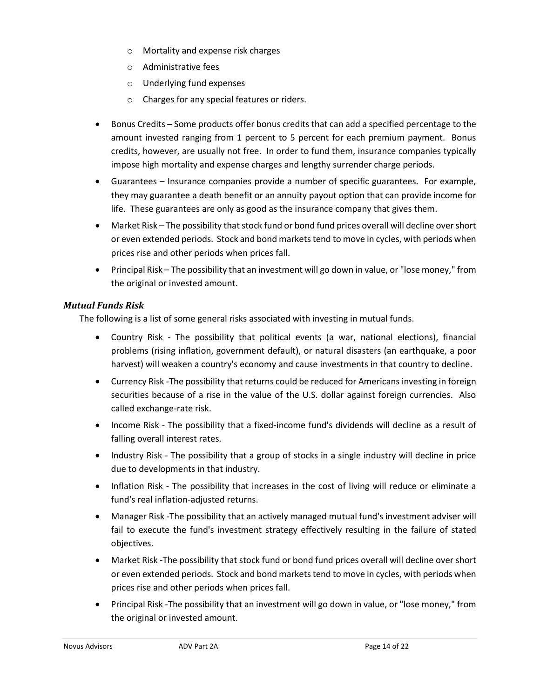- o Mortality and expense risk charges
- o Administrative fees
- o Underlying fund expenses
- o Charges for any special features or riders.
- Bonus Credits Some products offer bonus credits that can add a specified percentage to the amount invested ranging from 1 percent to 5 percent for each premium payment. Bonus credits, however, are usually not free. In order to fund them, insurance companies typically impose high mortality and expense charges and lengthy surrender charge periods.
- Guarantees Insurance companies provide a number of specific guarantees. For example, they may guarantee a death benefit or an annuity payout option that can provide income for life. These guarantees are only as good as the insurance company that gives them.
- Market Risk The possibility that stock fund or bond fund prices overall will decline over short or even extended periods. Stock and bond markets tend to move in cycles, with periods when prices rise and other periods when prices fall.
- Principal Risk The possibility that an investment will go down in value, or "lose money," from the original or invested amount.

#### *Mutual Funds Risk*

The following is a list of some general risks associated with investing in mutual funds.

- Country Risk The possibility that political events (a war, national elections), financial problems (rising inflation, government default), or natural disasters (an earthquake, a poor harvest) will weaken a country's economy and cause investments in that country to decline.
- Currency Risk -The possibility that returns could be reduced for Americans investing in foreign securities because of a rise in the value of the U.S. dollar against foreign currencies. Also called exchange-rate risk.
- Income Risk The possibility that a fixed-income fund's dividends will decline as a result of falling overall interest rates.
- Industry Risk The possibility that a group of stocks in a single industry will decline in price due to developments in that industry.
- Inflation Risk The possibility that increases in the cost of living will reduce or eliminate a fund's real inflation-adjusted returns.
- Manager Risk -The possibility that an actively managed mutual fund's investment adviser will fail to execute the fund's investment strategy effectively resulting in the failure of stated objectives.
- Market Risk -The possibility that stock fund or bond fund prices overall will decline over short or even extended periods. Stock and bond markets tend to move in cycles, with periods when prices rise and other periods when prices fall.
- Principal Risk -The possibility that an investment will go down in value, or "lose money," from the original or invested amount.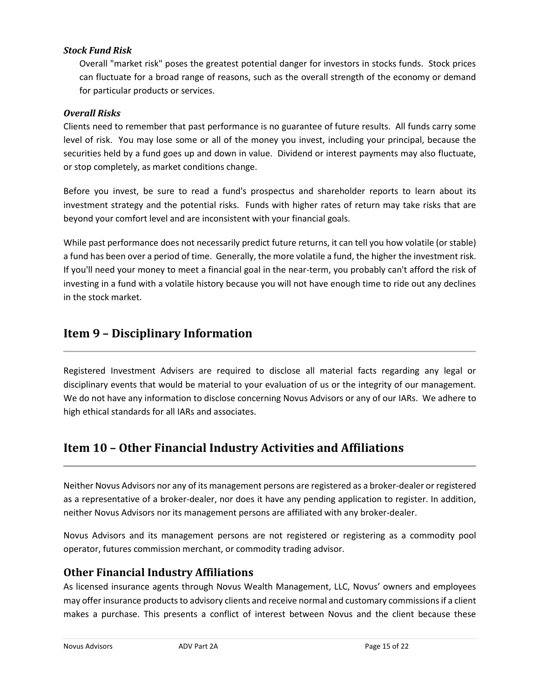#### *Stock Fund Risk*

Overall "market risk" poses the greatest potential danger for investors in stocks funds. Stock prices can fluctuate for a broad range of reasons, such as the overall strength of the economy or demand for particular products or services.

#### *Overall Risks*

Clients need to remember that past performance is no guarantee of future results. All funds carry some level of risk. You may lose some or all of the money you invest, including your principal, because the securities held by a fund goes up and down in value. Dividend or interest payments may also fluctuate, or stop completely, as market conditions change.

Before you invest, be sure to read a fund's prospectus and shareholder reports to learn about its investment strategy and the potential risks. Funds with higher rates of return may take risks that are beyond your comfort level and are inconsistent with your financial goals.

While past performance does not necessarily predict future returns, it can tell you how volatile (or stable) a fund has been over a period of time. Generally, the more volatile a fund, the higher the investment risk. If you'll need your money to meet a financial goal in the near-term, you probably can't afford the risk of investing in a fund with a volatile history because you will not have enough time to ride out any declines in the stock market.

# <span id="page-14-0"></span>**Item 9 – Disciplinary Information**

Registered Investment Advisers are required to disclose all material facts regarding any legal or disciplinary events that would be material to your evaluation of us or the integrity of our management. We do not have any information to disclose concerning Novus Advisors or any of our IARs. We adhere to high ethical standards for all IARs and associates.

# <span id="page-14-1"></span>**Item 10 – Other Financial Industry Activities and Affiliations**

Neither Novus Advisors nor any of its management persons are registered as a broker-dealer or registered as a representative of a broker-dealer, nor does it have any pending application to register. In addition, neither Novus Advisors nor its management persons are affiliated with any broker-dealer.

Novus Advisors and its management persons are not registered or registering as a commodity pool operator, futures commission merchant, or commodity trading advisor.

### **Other Financial Industry Affiliations**

As licensed insurance agents through Novus Wealth Management, LLC, Novus' owners and employees may offer insurance products to advisory clients and receive normal and customary commissions if a client makes a purchase. This presents a conflict of interest between Novus and the client because these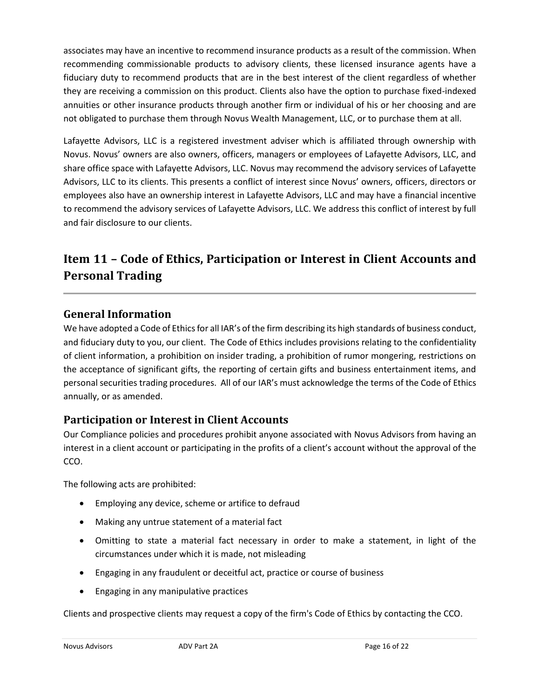associates may have an incentive to recommend insurance products as a result of the commission. When recommending commissionable products to advisory clients, these licensed insurance agents have a fiduciary duty to recommend products that are in the best interest of the client regardless of whether they are receiving a commission on this product. Clients also have the option to purchase fixed-indexed annuities or other insurance products through another firm or individual of his or her choosing and are not obligated to purchase them through Novus Wealth Management, LLC, or to purchase them at all.

Lafayette Advisors, LLC is a registered investment adviser which is affiliated through ownership with Novus. Novus' owners are also owners, officers, managers or employees of Lafayette Advisors, LLC, and share office space with Lafayette Advisors, LLC. Novus may recommend the advisory services of Lafayette Advisors, LLC to its clients. This presents a conflict of interest since Novus' owners, officers, directors or employees also have an ownership interest in Lafayette Advisors, LLC and may have a financial incentive to recommend the advisory services of Lafayette Advisors, LLC. We address this conflict of interest by full and fair disclosure to our clients.

# <span id="page-15-0"></span>**Item 11 – Code of Ethics, Participation or Interest in Client Accounts and Personal Trading**

# **General Information**

We have adopted a Code of Ethics for all IAR's of the firm describing its high standards of business conduct, and fiduciary duty to you, our client. The Code of Ethics includes provisions relating to the confidentiality of client information, a prohibition on insider trading, a prohibition of rumor mongering, restrictions on the acceptance of significant gifts, the reporting of certain gifts and business entertainment items, and personal securities trading procedures. All of our IAR's must acknowledge the terms of the Code of Ethics annually, or as amended.

# **Participation or Interest in Client Accounts**

Our Compliance policies and procedures prohibit anyone associated with Novus Advisors from having an interest in a client account or participating in the profits of a client's account without the approval of the CCO.

The following acts are prohibited:

- Employing any device, scheme or artifice to defraud
- Making any untrue statement of a material fact
- Omitting to state a material fact necessary in order to make a statement, in light of the circumstances under which it is made, not misleading
- Engaging in any fraudulent or deceitful act, practice or course of business
- Engaging in any manipulative practices

Clients and prospective clients may request a copy of the firm's Code of Ethics by contacting the CCO.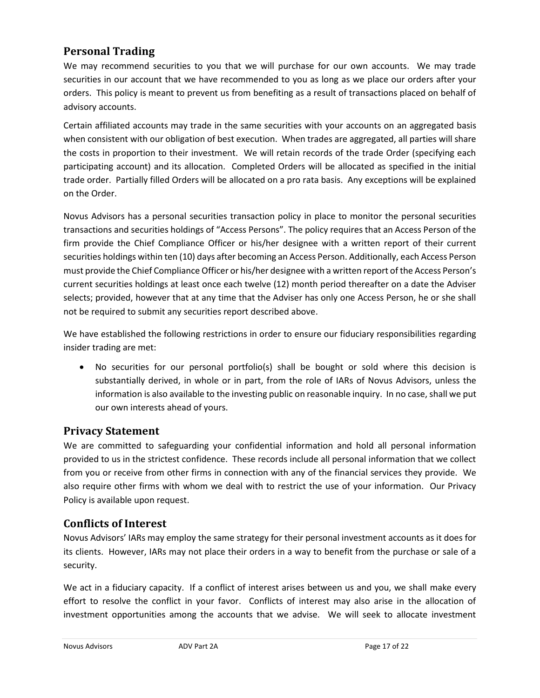# **Personal Trading**

We may recommend securities to you that we will purchase for our own accounts. We may trade securities in our account that we have recommended to you as long as we place our orders after your orders. This policy is meant to prevent us from benefiting as a result of transactions placed on behalf of advisory accounts.

Certain affiliated accounts may trade in the same securities with your accounts on an aggregated basis when consistent with our obligation of best execution. When trades are aggregated, all parties will share the costs in proportion to their investment. We will retain records of the trade Order (specifying each participating account) and its allocation. Completed Orders will be allocated as specified in the initial trade order. Partially filled Orders will be allocated on a pro rata basis. Any exceptions will be explained on the Order.

Novus Advisors has a personal securities transaction policy in place to monitor the personal securities transactions and securities holdings of "Access Persons". The policy requires that an Access Person of the firm provide the Chief Compliance Officer or his/her designee with a written report of their current securities holdings within ten (10) days after becoming an Access Person. Additionally, each Access Person must provide the Chief Compliance Officer or his/her designee with a written report of the Access Person's current securities holdings at least once each twelve (12) month period thereafter on a date the Adviser selects; provided, however that at any time that the Adviser has only one Access Person, he or she shall not be required to submit any securities report described above.

We have established the following restrictions in order to ensure our fiduciary responsibilities regarding insider trading are met:

• No securities for our personal portfolio(s) shall be bought or sold where this decision is substantially derived, in whole or in part, from the role of IARs of Novus Advisors, unless the information is also available to the investing public on reasonable inquiry. In no case, shall we put our own interests ahead of yours.

# **Privacy Statement**

We are committed to safeguarding your confidential information and hold all personal information provided to us in the strictest confidence. These records include all personal information that we collect from you or receive from other firms in connection with any of the financial services they provide. We also require other firms with whom we deal with to restrict the use of your information. Our Privacy Policy is available upon request.

### **Conflicts of Interest**

Novus Advisors' IARs may employ the same strategy for their personal investment accounts as it does for its clients. However, IARs may not place their orders in a way to benefit from the purchase or sale of a security.

We act in a fiduciary capacity. If a conflict of interest arises between us and you, we shall make every effort to resolve the conflict in your favor. Conflicts of interest may also arise in the allocation of investment opportunities among the accounts that we advise. We will seek to allocate investment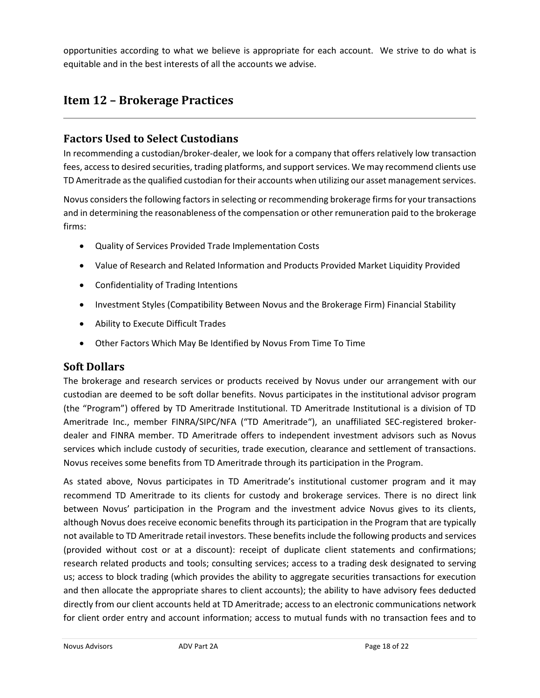opportunities according to what we believe is appropriate for each account. We strive to do what is equitable and in the best interests of all the accounts we advise.

# <span id="page-17-0"></span>**Item 12 – Brokerage Practices**

### **Factors Used to Select Custodians**

In recommending a custodian/broker-dealer, we look for a company that offers relatively low transaction fees, access to desired securities, trading platforms, and support services. We may recommend clients use TD Ameritrade as the qualified custodian for their accounts when utilizing our asset management services.

Novus considers the following factors in selecting or recommending brokerage firms for your transactions and in determining the reasonableness of the compensation or other remuneration paid to the brokerage firms:

- Quality of Services Provided Trade Implementation Costs
- Value of Research and Related Information and Products Provided Market Liquidity Provided
- Confidentiality of Trading Intentions
- Investment Styles (Compatibility Between Novus and the Brokerage Firm) Financial Stability
- Ability to Execute Difficult Trades
- Other Factors Which May Be Identified by Novus From Time To Time

#### **Soft Dollars**

The brokerage and research services or products received by Novus under our arrangement with our custodian are deemed to be soft dollar benefits. Novus participates in the institutional advisor program (the "Program") offered by TD Ameritrade Institutional. TD Ameritrade Institutional is a division of TD Ameritrade Inc., member FINRA/SIPC/NFA ("TD Ameritrade"), an unaffiliated SEC-registered brokerdealer and FINRA member. TD Ameritrade offers to independent investment advisors such as Novus services which include custody of securities, trade execution, clearance and settlement of transactions. Novus receives some benefits from TD Ameritrade through its participation in the Program.

As stated above, Novus participates in TD Ameritrade's institutional customer program and it may recommend TD Ameritrade to its clients for custody and brokerage services. There is no direct link between Novus' participation in the Program and the investment advice Novus gives to its clients, although Novus does receive economic benefits through its participation in the Program that are typically not available to TD Ameritrade retail investors. These benefits include the following products and services (provided without cost or at a discount): receipt of duplicate client statements and confirmations; research related products and tools; consulting services; access to a trading desk designated to serving us; access to block trading (which provides the ability to aggregate securities transactions for execution and then allocate the appropriate shares to client accounts); the ability to have advisory fees deducted directly from our client accounts held at TD Ameritrade; access to an electronic communications network for client order entry and account information; access to mutual funds with no transaction fees and to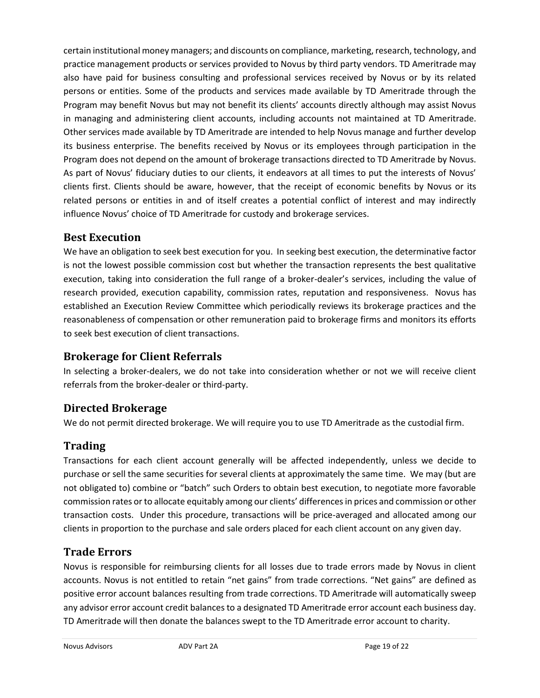certain institutional money managers; and discounts on compliance, marketing, research, technology, and practice management products or services provided to Novus by third party vendors. TD Ameritrade may also have paid for business consulting and professional services received by Novus or by its related persons or entities. Some of the products and services made available by TD Ameritrade through the Program may benefit Novus but may not benefit its clients' accounts directly although may assist Novus in managing and administering client accounts, including accounts not maintained at TD Ameritrade. Other services made available by TD Ameritrade are intended to help Novus manage and further develop its business enterprise. The benefits received by Novus or its employees through participation in the Program does not depend on the amount of brokerage transactions directed to TD Ameritrade by Novus. As part of Novus' fiduciary duties to our clients, it endeavors at all times to put the interests of Novus' clients first. Clients should be aware, however, that the receipt of economic benefits by Novus or its related persons or entities in and of itself creates a potential conflict of interest and may indirectly influence Novus' choice of TD Ameritrade for custody and brokerage services.

# **Best Execution**

We have an obligation to seek best execution for you. In seeking best execution, the determinative factor is not the lowest possible commission cost but whether the transaction represents the best qualitative execution, taking into consideration the full range of a broker-dealer's services, including the value of research provided, execution capability, commission rates, reputation and responsiveness. Novus has established an Execution Review Committee which periodically reviews its brokerage practices and the reasonableness of compensation or other remuneration paid to brokerage firms and monitors its efforts to seek best execution of client transactions.

# **Brokerage for Client Referrals**

In selecting a broker-dealers, we do not take into consideration whether or not we will receive client referrals from the broker-dealer or third-party.

# **Directed Brokerage**

We do not permit directed brokerage. We will require you to use TD Ameritrade as the custodial firm.

# **Trading**

Transactions for each client account generally will be affected independently, unless we decide to purchase or sell the same securities for several clients at approximately the same time. We may (but are not obligated to) combine or "batch" such Orders to obtain best execution, to negotiate more favorable commission rates or to allocate equitably among our clients' differences in prices and commission or other transaction costs. Under this procedure, transactions will be price-averaged and allocated among our clients in proportion to the purchase and sale orders placed for each client account on any given day.

# **Trade Errors**

Novus is responsible for reimbursing clients for all losses due to trade errors made by Novus in client accounts. Novus is not entitled to retain "net gains" from trade corrections. "Net gains" are defined as positive error account balances resulting from trade corrections. TD Ameritrade will automatically sweep any advisor error account credit balances to a designated TD Ameritrade error account each business day. TD Ameritrade will then donate the balances swept to the TD Ameritrade error account to charity.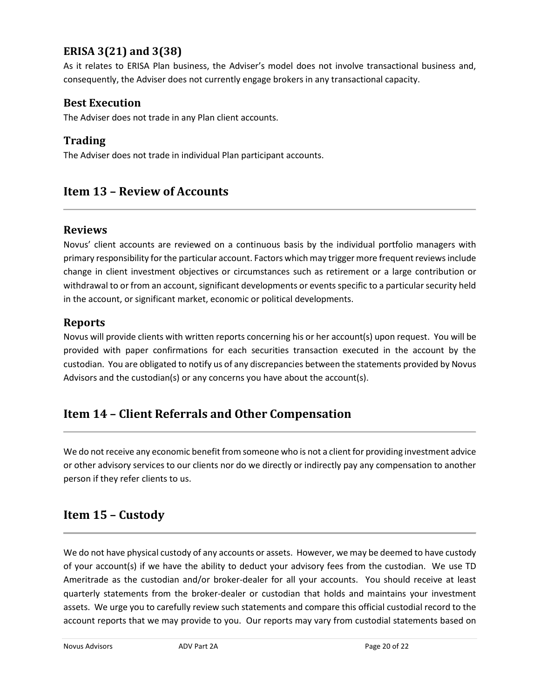# **ERISA 3(21) and 3(38)**

As it relates to ERISA Plan business, the Adviser's model does not involve transactional business and, consequently, the Adviser does not currently engage brokers in any transactional capacity.

### **Best Execution**

The Adviser does not trade in any Plan client accounts.

### **Trading**

The Adviser does not trade in individual Plan participant accounts.

# <span id="page-19-0"></span>**Item 13 – Review of Accounts**

#### **Reviews**

Novus' client accounts are reviewed on a continuous basis by the individual portfolio managers with primary responsibility for the particular account. Factors which may trigger more frequent reviews include change in client investment objectives or circumstances such as retirement or a large contribution or withdrawal to or from an account, significant developments or events specific to a particular security held in the account, or significant market, economic or political developments.

### **Reports**

Novus will provide clients with written reports concerning his or her account(s) upon request. You will be provided with paper confirmations for each securities transaction executed in the account by the custodian. You are obligated to notify us of any discrepancies between the statements provided by Novus Advisors and the custodian(s) or any concerns you have about the account(s).

# <span id="page-19-1"></span>**Item 14 – Client Referrals and Other Compensation**

We do not receive any economic benefit from someone who is not a client for providing investment advice or other advisory services to our clients nor do we directly or indirectly pay any compensation to another person if they refer clients to us.

# <span id="page-19-2"></span>**Item 15 – Custody**

We do not have physical custody of any accounts or assets. However, we may be deemed to have custody of your account(s) if we have the ability to deduct your advisory fees from the custodian. We use TD Ameritrade as the custodian and/or broker-dealer for all your accounts. You should receive at least quarterly statements from the broker-dealer or custodian that holds and maintains your investment assets. We urge you to carefully review such statements and compare this official custodial record to the account reports that we may provide to you. Our reports may vary from custodial statements based on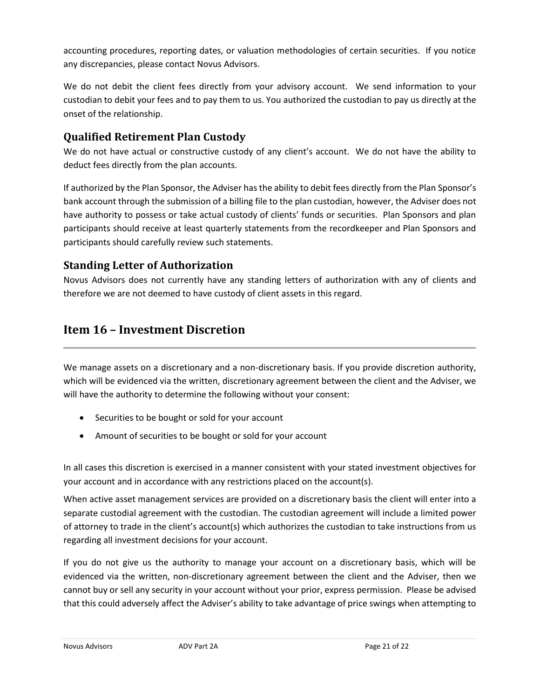accounting procedures, reporting dates, or valuation methodologies of certain securities. If you notice any discrepancies, please contact Novus Advisors.

We do not debit the client fees directly from your advisory account. We send information to your custodian to debit your fees and to pay them to us. You authorized the custodian to pay us directly at the onset of the relationship.

# **Qualified Retirement Plan Custody**

We do not have actual or constructive custody of any client's account. We do not have the ability to deduct fees directly from the plan accounts.

If authorized by the Plan Sponsor, the Adviser has the ability to debit fees directly from the Plan Sponsor's bank account through the submission of a billing file to the plan custodian, however, the Adviser does not have authority to possess or take actual custody of clients' funds or securities. Plan Sponsors and plan participants should receive at least quarterly statements from the recordkeeper and Plan Sponsors and participants should carefully review such statements.

# **Standing Letter of Authorization**

Novus Advisors does not currently have any standing letters of authorization with any of clients and therefore we are not deemed to have custody of client assets in this regard.

# <span id="page-20-0"></span>**Item 16 – Investment Discretion**

We manage assets on a discretionary and a non-discretionary basis. If you provide discretion authority, which will be evidenced via the written, discretionary agreement between the client and the Adviser, we will have the authority to determine the following without your consent:

- Securities to be bought or sold for your account
- Amount of securities to be bought or sold for your account

In all cases this discretion is exercised in a manner consistent with your stated investment objectives for your account and in accordance with any restrictions placed on the account(s).

When active asset management services are provided on a discretionary basis the client will enter into a separate custodial agreement with the custodian. The custodian agreement will include a limited power of attorney to trade in the client's account(s) which authorizes the custodian to take instructions from us regarding all investment decisions for your account.

If you do not give us the authority to manage your account on a discretionary basis, which will be evidenced via the written, non-discretionary agreement between the client and the Adviser, then we cannot buy or sell any security in your account without your prior, express permission. Please be advised that this could adversely affect the Adviser's ability to take advantage of price swings when attempting to